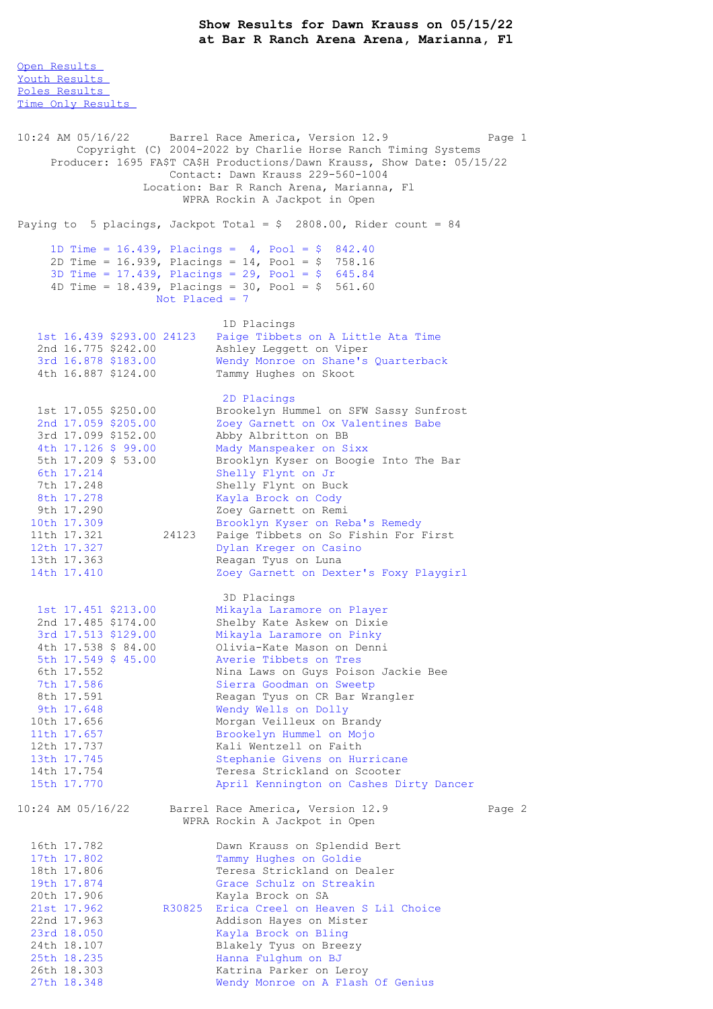Open [Results](file:///C:/Users/flori/Downloads/Show_Results_Dawn_Krauss_05_15_22.html#Open) Youth [Results](file:///C:/Users/flori/Downloads/Show_Results_Dawn_Krauss_05_15_22.html#Youth) Poles [Results](file:///C:/Users/flori/Downloads/Show_Results_Dawn_Krauss_05_15_22.html#Poles) Time Only [Results](file:///C:/Users/flori/Downloads/Show_Results_Dawn_Krauss_05_15_22.html#Time%20Only) 10:24 AM 05/16/22 Barrel Race America, Version 12.9 Page 1 Copyright (C) 2004-2022 by Charlie Horse Ranch Timing Systems Producer: 1695 FA\$T CA\$H Productions/Dawn Krauss, Show Date: 05/15/22 Contact: Dawn Krauss 229-560-1004 Location: Bar R Ranch Arena, Marianna, Fl WPRA Rockin A Jackpot in Open Paying to 5 placings, Jackpot Total =  $$$  2808.00, Rider count = 84 1D Time = 16.439, Placings = 4, Pool = \$ 842.40 2D Time = 16.939, Placings = 14, Pool = \$ 758.16 3D Time = 17.439, Placings = 29, Pool = \$ 645.84 4D Time =  $18.439$ , Placings =  $30$ , Pool =  $$561.60$ Not Placed = 7 1D Placings 1st 16.439 \$293.00 24123 Paige Tibbets on A Little Ata Time 2nd 16.775 \$242.00 Ashley Leggett on Viper 3rd 16.878 \$183.00 Wendy Monroe on Shane's Quarterback 4th 16.887 \$124.00 Tammy Hughes on Skoot 2D Placings 1st 17.055 \$250.00 Brookelyn Hummel on SFW Sassy Sunfrost 2nd 17.059 \$205.00 Zoey Garnett on Ox Valentines Babe 3rd 17.099 \$152.00 Abby Albritton on BB 4th 17.126 \$ 99.00 Mady Manspeaker on Sixx 5th 17.209 \$ 53.00 Brooklyn Kyser on Boogie Into The Bar 6th 17.214 Shelly Flynt on Jr 7th 17.248 Shelly Flynt on Buck 8th 17.278 Kayla Brock on Cody<br>9th 17.290 Zoev Garnett on Rem 9th 17.290 Zoey Garnett on Remi<br>10th 17.309 Brooklyn Kyser on Re 10th 17.309 Brooklyn Kyser on Reba's Remedy<br>11th 17.321 24123 Paige Tibbets on So Fishin For 1 24123 Paige Tibbets on So Fishin For First 12th 17.327 Dylan Kreger on Casino<br>13th 17.363 Reagan Tyus on Luna 13th 17.363 Reagan Tyus on Luna<br>14th 17.410 7.0ev Garnett on Dexi Zoey Garnett on Dexter's Foxy Playgirl 3D Placings 1st 17.451 \$213.00 Mikayla Laramore on Player 2nd 17.485 \$174.00 Shelby Kate Askew on Dixie 3rd 17.513 \$129.00 Mikayla Laramore on Pinky 4th 17.538 \$ 84.00 Olivia-Kate Mason on Denni 5th 17.549 \$ 45.00 Averie Tibbets on Tres 6th 17.552 Nina Laws on Guys Poison Jackie Bee 7th 17.586 Sierra Goodman on Sweetp 8th 17.591 Reagan Tyus on CR Bar Wrangler 9th 17.648 Wendy Wells on Dolly 10th 17.656 Morgan Veilleux on Brandy 11th 17.657 Brookelyn Hummel on Mojo 12th 17.737 Kali Wentzell on Faith 13th 17.745 Stephanie Givens on Hurricane 14th 17.754 Teresa Strickland on Scooter 15th 17.770 April Kennington on Cashes Dirty Dancer 10:24 AM 05/16/22 Barrel Race America, Version 12.9 Page 2 WPRA Rockin A Jackpot in Open 16th 17.782 Dawn Krauss on Splendid Bert<br>17th 17.802 Tammy Hughes on Goldie 17th 17.802 Tammy Hughes on Goldie<br>18th 17.806 Teresa Strickland on De 18th 17.806 Teresa Strickland on Dealer<br>19th 17.874 Grace Schulz on Streakin 19th 17.874 Grace Schulz on Streakin 20th 17.906 Kayla Brock on SA<br>
21st 17.962 R30825 Erica Creel on Hea<br>
22nd 17.963 Addison Hayes on N R30825 Erica Creel on Heaven S Lil Choice 22nd 17.963 (and Addison Hayes on Mister<br>23rd 18.050 (and Kayla Brock on Bling) 23rd 18.050 Kayla Brock on Bling<br>24th 18.107 Blakely Tyus on Bree: Blakely Tyus on Breezy 25th 18.235 Hanna Fulghum on BJ 26th 18.303 Katrina Parker on Leroy 27th 18.348 Wendy Monroe on A Flash Of Genius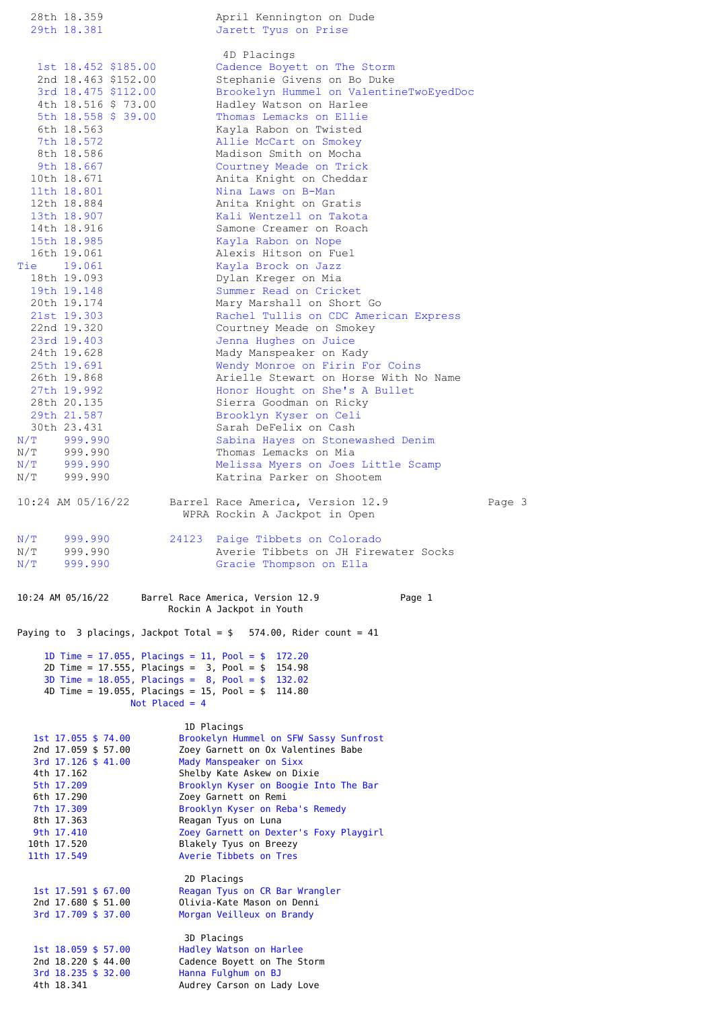|                                                                                               | 28th 18.359                                | April Kennington on Dude                                                                                     |        |  |  |
|-----------------------------------------------------------------------------------------------|--------------------------------------------|--------------------------------------------------------------------------------------------------------------|--------|--|--|
|                                                                                               | 29th 18.381                                | Jarett Tyus on Prise                                                                                         |        |  |  |
|                                                                                               |                                            | 4D Placings                                                                                                  |        |  |  |
|                                                                                               | 1st 18.452 \$185.00                        | Cadence Boyett on The Storm                                                                                  |        |  |  |
|                                                                                               | 2nd 18.463 \$152.00                        | Stephanie Givens on Bo Duke                                                                                  |        |  |  |
|                                                                                               | 3rd 18.475 \$112.00                        | Brookelyn Hummel on ValentineTwoEyedDoc                                                                      |        |  |  |
|                                                                                               | 4th 18.516 \$ 73.00<br>5th 18.558 \$ 39.00 | Hadley Watson on Harlee<br>Thomas Lemacks on Ellie                                                           |        |  |  |
|                                                                                               | 6th 18.563                                 | Kayla Rabon on Twisted                                                                                       |        |  |  |
|                                                                                               | 7th 18.572                                 | Allie McCart on Smokey                                                                                       |        |  |  |
|                                                                                               | 8th 18.586<br>9th 18.667                   | Madison Smith on Mocha<br>Courtney Meade on Trick                                                            |        |  |  |
|                                                                                               | 10th 18.671                                | Anita Knight on Cheddar                                                                                      |        |  |  |
|                                                                                               | 11th 18.801                                | Nina Laws on B-Man                                                                                           |        |  |  |
|                                                                                               | 12th 18.884                                | Anita Knight on Gratis                                                                                       |        |  |  |
|                                                                                               | 13th 18.907<br>14th 18.916                 | Kali Wentzell on Takota<br>Samone Creamer on Roach                                                           |        |  |  |
|                                                                                               | 15th 18.985                                | Kayla Rabon on Nope                                                                                          |        |  |  |
|                                                                                               | 16th 19.061                                | Alexis Hitson on Fuel                                                                                        |        |  |  |
|                                                                                               | Tie 19.061<br>18th 19.093                  | Kayla Brock on Jazz<br>Dylan Kreger on Mia                                                                   |        |  |  |
|                                                                                               | 19th 19.148                                | Summer Read on Cricket                                                                                       |        |  |  |
|                                                                                               | 20th 19.174                                | Mary Marshall on Short Go                                                                                    |        |  |  |
|                                                                                               | 21st 19.303<br>22nd 19.320                 | Rachel Tullis on CDC American Express<br>Courtney Meade on Smokey                                            |        |  |  |
|                                                                                               | 23rd 19.403                                | Jenna Hughes on Juice                                                                                        |        |  |  |
|                                                                                               | 24th 19.628                                | Mady Manspeaker on Kady                                                                                      |        |  |  |
|                                                                                               | 25th 19.691                                | Wendy Monroe on Firin For Coins<br>Arielle Stewart on Horse With No Name                                     |        |  |  |
|                                                                                               | 26th 19.868<br>27th 19.992                 | Honor Hought on She's A Bullet                                                                               |        |  |  |
|                                                                                               | 28th 20.135                                | Sierra Goodman on Ricky                                                                                      |        |  |  |
|                                                                                               | 29th 21.587                                | Brooklyn Kyser on Celi                                                                                       |        |  |  |
|                                                                                               | 30th 23.431<br>$N/T$ 999.990               | Sarah DeFelix on Cash<br>Sabina Hayes on Stonewashed Denim                                                   |        |  |  |
|                                                                                               | $N/T$ 999.990                              | Thomas Lemacks on Mia                                                                                        |        |  |  |
|                                                                                               | $N/T$ 999.990                              | Melissa Myers on Joes Little Scamp                                                                           |        |  |  |
| N/T                                                                                           | 999.990                                    | Katrina Parker on Shootem                                                                                    |        |  |  |
|                                                                                               | $10:24$ AM $05/16/22$                      | Barrel Race America, Version 12.9<br>WPRA Rockin A Jackpot in Open                                           | Page 3 |  |  |
| N/T                                                                                           | 999.990                                    | 24123<br>Paige Tibbets on Colorado                                                                           |        |  |  |
| N/T                                                                                           | 999.990                                    | Averie Tibbets on JH Firewater Socks                                                                         |        |  |  |
| N/T                                                                                           | 999.990                                    | Gracie Thompson on Ella                                                                                      |        |  |  |
| Page 1<br>10:24 AM 05/16/22<br>Barrel Race America, Version 12.9<br>Rockin A Jackpot in Youth |                                            |                                                                                                              |        |  |  |
|                                                                                               |                                            | Paying to 3 placings, Jackpot Total = $$$ 574.00, Rider count = 41                                           |        |  |  |
|                                                                                               |                                            | 1D Time = 17.055, Placings = 11, Pool = $$$<br>172.20                                                        |        |  |  |
|                                                                                               |                                            | 2D Time = 17.555, Placings = $3$ , Pool = $$$ 154.98                                                         |        |  |  |
|                                                                                               |                                            | 3D Time = $18.055$ , Placings = $8$ , Pool = $$$ 132.02<br>4D Time = 19.055, Placings = 15, Pool = \$ 114.80 |        |  |  |
|                                                                                               |                                            | Not Placed = $4$                                                                                             |        |  |  |
|                                                                                               |                                            |                                                                                                              |        |  |  |
|                                                                                               | 1st 17.055 \$ 74.00                        | 1D Placings<br>Brookelyn Hummel on SFW Sassy Sunfrost                                                        |        |  |  |
|                                                                                               | 2nd 17.059 \$ 57.00                        | Zoey Garnett on Ox Valentines Babe                                                                           |        |  |  |
|                                                                                               | 3rd 17.126 \$ 41.00<br>4th 17.162          | Mady Manspeaker on Sixx<br>Shelby Kate Askew on Dixie                                                        |        |  |  |
|                                                                                               | 5th 17.209                                 | Brooklyn Kyser on Boogie Into The Bar                                                                        |        |  |  |
|                                                                                               | 6th 17.290                                 | Zoey Garnett on Remi                                                                                         |        |  |  |
|                                                                                               | 7th 17.309<br>8th 17.363                   | Brooklyn Kyser on Reba's Remedy<br>Reagan Tyus on Luna                                                       |        |  |  |
|                                                                                               | 9th 17.410                                 | Zoey Garnett on Dexter's Foxy Playgirl                                                                       |        |  |  |
|                                                                                               | 10th 17.520<br>11th 17.549                 | Blakely Tyus on Breezy<br>Averie Tibbets on Tres                                                             |        |  |  |
|                                                                                               |                                            |                                                                                                              |        |  |  |
|                                                                                               |                                            | 2D Placings                                                                                                  |        |  |  |
|                                                                                               |                                            |                                                                                                              |        |  |  |
|                                                                                               | $1st$ 17.591 \$ 67.00                      | Reagan Tyus on CR Bar Wrangler                                                                               |        |  |  |
|                                                                                               | 2nd 17.680 \$ 51.00<br>3rd 17.709 \$ 37.00 | Olivia-Kate Mason on Denni<br>Morgan Veilleux on Brandy                                                      |        |  |  |
|                                                                                               |                                            |                                                                                                              |        |  |  |
|                                                                                               | $1st$ 18.059 \$ 57.00                      | 3D Placings<br>Hadley Watson on Harlee                                                                       |        |  |  |
|                                                                                               | 2nd 18.220 \$ 44.00<br>3rd 18.235 \$ 32.00 | Cadence Boyett on The Storm<br>Hanna Fulghum on BJ                                                           |        |  |  |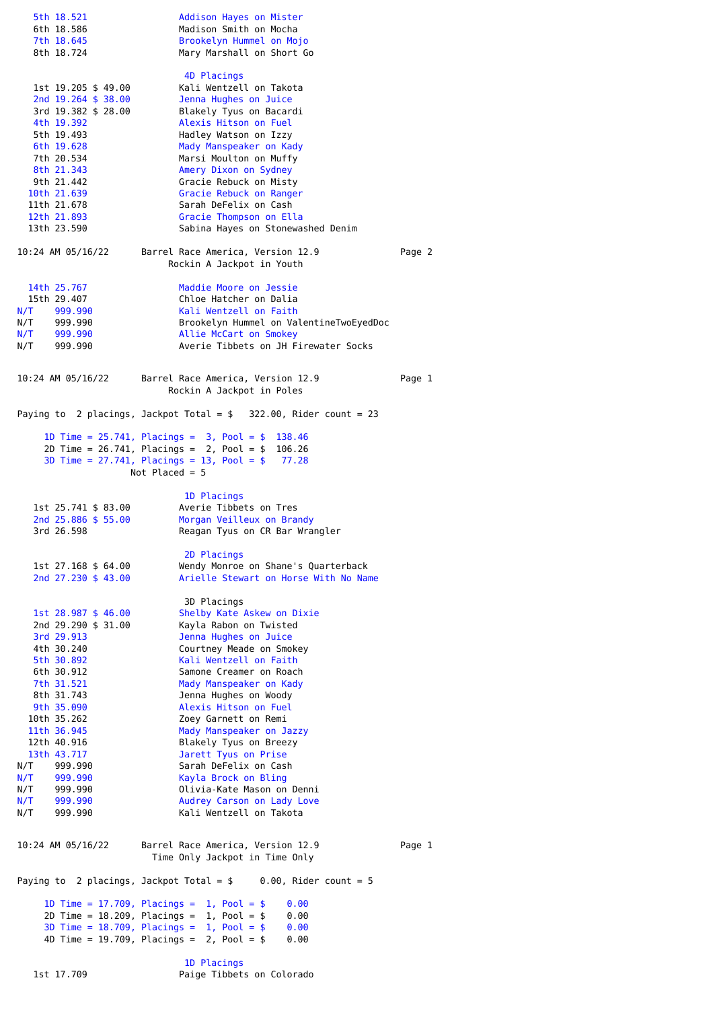| 5th 18.521<br>6th 18.586                                                                                           | Addison Hayes on Mister<br>Madison Smith on Mocha                                                                                                                                            |        |  |  |  |
|--------------------------------------------------------------------------------------------------------------------|----------------------------------------------------------------------------------------------------------------------------------------------------------------------------------------------|--------|--|--|--|
| 7th 18.645<br>8th 18.724                                                                                           | Brookelyn Hummel on Mojo<br>Mary Marshall on Short Go                                                                                                                                        |        |  |  |  |
| 1st 19.205 \$ 49.00<br>2nd 19.264 \$ 38.00<br>3rd 19.382 \$ 28.00<br>4th 19.392                                    | 4D Placings<br>Kali Wentzell on Takota<br>Jenna Hughes on Juice<br>Blakely Tyus on Bacardi<br>Alexis Hitson on Fuel                                                                          |        |  |  |  |
| 5th 19.493<br>6th 19.628                                                                                           | Hadley Watson on Izzy<br>Mady Manspeaker on Kady                                                                                                                                             |        |  |  |  |
| 7th 20.534<br>8th 21.343                                                                                           | Marsi Moulton on Muffy<br>Amery Dixon on Sydney                                                                                                                                              |        |  |  |  |
| 9th 21.442<br>10th 21.639                                                                                          | Gracie Rebuck on Misty<br>Gracie Rebuck on Ranger                                                                                                                                            |        |  |  |  |
| 11th 21.678<br>12th 21.893                                                                                         | Sarah DeFelix on Cash<br>Gracie Thompson on Ella                                                                                                                                             |        |  |  |  |
| 13th 23.590                                                                                                        | Sabina Hayes on Stonewashed Denim                                                                                                                                                            |        |  |  |  |
| 10:24 AM 05/16/22                                                                                                  | Barrel Race America, Version 12.9<br>Rockin A Jackpot in Youth                                                                                                                               | Page 2 |  |  |  |
| 14th 25.767<br>15th 29.407                                                                                         | Maddie Moore on Jessie<br>Chloe Hatcher on Dalia                                                                                                                                             |        |  |  |  |
| N/T 999.990<br>N/T 999.990                                                                                         | Kali Wentzell on Faith<br>Brookelyn Hummel on ValentineTwoEyedDoc                                                                                                                            |        |  |  |  |
| N/T 999.990<br>N/T 999.990                                                                                         | Allie McCart on Smokey<br>Averie Tibbets on JH Firewater Socks                                                                                                                               |        |  |  |  |
| 10:24 AM 05/16/22                                                                                                  | Barrel Race America, Version 12.9<br>Rockin A Jackpot in Poles                                                                                                                               | Page 1 |  |  |  |
|                                                                                                                    | Paying to 2 placings, Jackpot Total = $$322.00$ , Rider count = 23                                                                                                                           |        |  |  |  |
|                                                                                                                    | 1D Time = $25.741$ , Placings = $3$ , Pool = $$$ 138.46<br>2D Time = $26.741$ , Placings = $2$ , Pool = \$ 106.26<br>3D Time = $27.741$ , Placings = 13, Pool = $$77.28$<br>Not Placed = $5$ |        |  |  |  |
|                                                                                                                    | 1D Placings                                                                                                                                                                                  |        |  |  |  |
| 1st 25.741 \$ 83.00<br>2nd 25.886 \$ 55.00                                                                         | Averie Tibbets on Tres<br>Morgan Veilleux on Brandy                                                                                                                                          |        |  |  |  |
| 3rd 26.598                                                                                                         | Reagan Tyus on CR Bar Wrangler<br>2D Placings                                                                                                                                                |        |  |  |  |
| 1st 27.168 \$ 64.00<br>2nd 27.230 \$ 43.00                                                                         | Wendy Monroe on Shane's Quarterback<br>Arielle Stewart on Horse With No Name                                                                                                                 |        |  |  |  |
| 1st 28.987 \$ 46.00                                                                                                | 3D Placings<br>Shelby Kate Askew on Dixie                                                                                                                                                    |        |  |  |  |
| 2nd 29.290 \$ 31.00<br>3rd 29.913                                                                                  | Kayla Rabon on Twisted<br>Jenna Hughes on Juice                                                                                                                                              |        |  |  |  |
| 4th 30.240<br>5th 30.892                                                                                           | Courtney Meade on Smokey<br>Kali Wentzell on Faith                                                                                                                                           |        |  |  |  |
| 6th 30.912<br>7th 31.521                                                                                           | Samone Creamer on Roach<br>Mady Manspeaker on Kady                                                                                                                                           |        |  |  |  |
| 8th 31.743<br>9th 35.090                                                                                           | Jenna Hughes on Woody<br>Alexis Hitson on Fuel                                                                                                                                               |        |  |  |  |
| 10th 35.262<br>11th 36.945                                                                                         | Zoey Garnett on Remi<br>Mady Manspeaker on Jazzy                                                                                                                                             |        |  |  |  |
| 12th 40.916<br>13th 43.717                                                                                         | Blakely Tyus on Breezy<br>Jarett Tyus on Prise                                                                                                                                               |        |  |  |  |
| N/T<br>999.990<br>N/T<br>999.990                                                                                   | Sarah DeFelix on Cash<br>Kayla Brock on Bling                                                                                                                                                |        |  |  |  |
| N/T<br>999.990<br>N/T<br>999.990                                                                                   | Olivia-Kate Mason on Denni<br>Audrey Carson on Lady Love                                                                                                                                     |        |  |  |  |
| N/T<br>999.990                                                                                                     | Kali Wentzell on Takota                                                                                                                                                                      |        |  |  |  |
| 10:24 AM 05/16/22                                                                                                  | Barrel Race America, Version 12.9<br>Time Only Jackpot in Time Only                                                                                                                          | Page 1 |  |  |  |
| Paying to 2 placings, Jackpot Total = $$ 0.00$ , Rider count = 5                                                   |                                                                                                                                                                                              |        |  |  |  |
|                                                                                                                    | 1D Time = 17.709, Placings = 1, Pool = $$$<br>0.00<br>2D Time = $18.209$ , Placings = 1, Pool = \$<br>0.00                                                                                   |        |  |  |  |
| 3D Time = $18.709$ , Placings = $1$ , Pool = \$<br>0.00<br>4D Time = $19.709$ , Placings = $2$ , Pool = \$<br>0.00 |                                                                                                                                                                                              |        |  |  |  |
| 1D Placings                                                                                                        |                                                                                                                                                                                              |        |  |  |  |